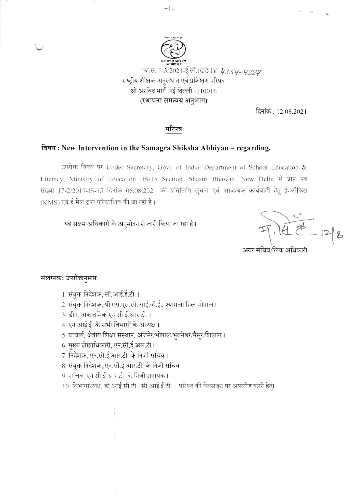

दिनांक: 12.08.2021

## परिपत्र

 $-1-$ 

## विषय: New Intervention in the Samagra Shiksha Abhiyan – regarding.

उपरोक्त विषय पर Under Secretary, Govt. of India, Department of School Education & Literacy, Ministry of Education, IS-15 Section, Shastri Bhawan, New Delhi से प्राप्त पत्र संख्या 17-2/2019-IS-15 दिनांक 06.08.2021 की प्रतिलिपि सूचना एवं आवश्यक कार्यवाही हेतु ई-ऑफिस (KMS) एवं ई-मेल द्वारा परिचालित की जा रही है।

यह सक्षम अधिकारी के अनुमोदन से जारी किया जा रहा है।

अवर सचिव/लिंक अधिकारी

## संलग्नक: उपरोक्तनुसार

1. संयुक्त निदेशक, सी.आई.ई.टी. ।

2. संयुक्त निदेशक, पी.एस.एस.सी.आई.वी.ई., श्यामला हिल भोपाल।

3. डीन, अकादमिक एन.सी.ई.आर.टी.।

4. एन.आई.ई. के सभी विभागों के अध्यक्ष।

5. प्राचार्य, क्षेत्रीय शिक्षा संस्थान, अजमेर/भोपाल/भुवनेश्वर/मैसूर/शिलांग।

6. मुख्य लेखाधिकारी, एन.सी.ई.आर.टी.।

7. निदेशक, एन.सी.ई.आर.टी. के निजी सचिव ।

8. संयुक्त निदेशक, एन.सी.ई.आर.टी. के निजी सचिव ।

9. सचिव, एन.सी.ई.आर.टी. के निजी सहायक।

10. विभागाध्यक्ष, डी.आई.सी.टी., सी.आई.ई.टी. - परिषद की वेबसाइट पर अपलोड करने हेतु।